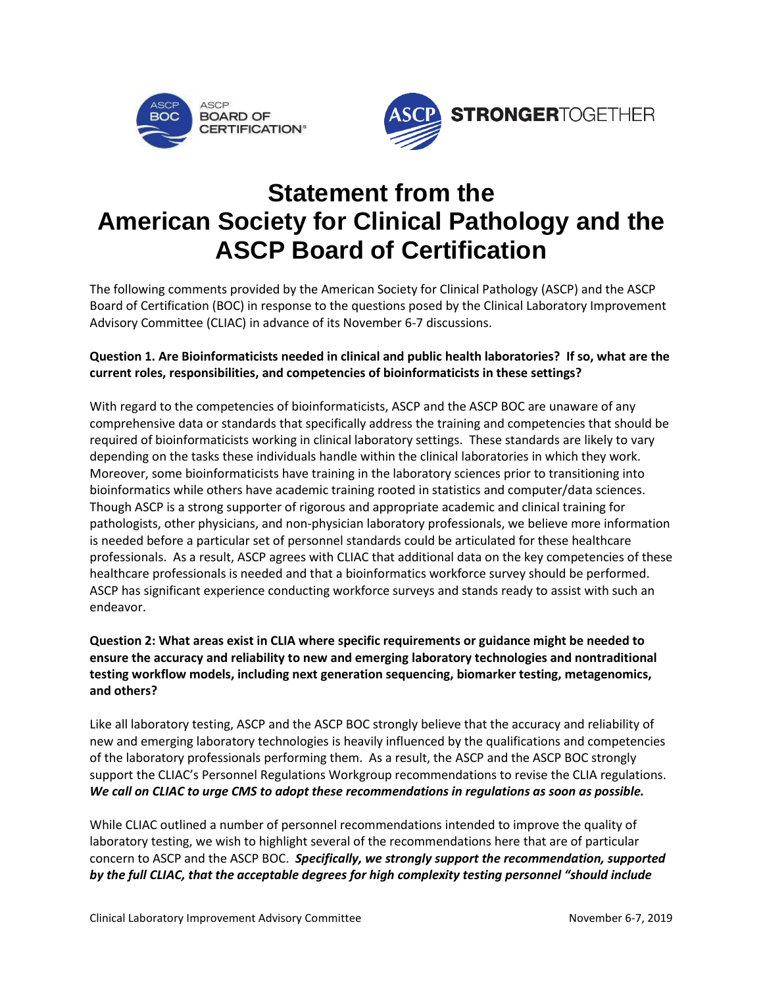



## **Statement from the American Society for Clinical Pathology and the ASCP Board of Certification**

The following comments provided by the American Society for Clinical Pathology (ASCP) and the ASCP Board of Certification (BOC) in response to the questions posed by the Clinical Laboratory Improvement Advisory Committee (CLIAC) in advance of its November 6-7 discussions.

## **Question 1. Are Bioinformaticists needed in clinical and public health laboratories? If so, what are the current roles, responsibilities, and competencies of bioinformaticists in these settings?**

With regard to the competencies of bioinformaticists, ASCP and the ASCP BOC are unaware of any comprehensive data or standards that specifically address the training and competencies that should be required of bioinformaticists working in clinical laboratory settings. These standards are likely to vary depending on the tasks these individuals handle within the clinical laboratories in which they work. Moreover, some bioinformaticists have training in the laboratory sciences prior to transitioning into bioinformatics while others have academic training rooted in statistics and computer/data sciences. Though ASCP is a strong supporter of rigorous and appropriate academic and clinical training for pathologists, other physicians, and non-physician laboratory professionals, we believe more information is needed before a particular set of personnel standards could be articulated for these healthcare professionals. As a result, ASCP agrees with CLIAC that additional data on the key competencies of these healthcare professionals is needed and that a bioinformatics workforce survey should be performed. ASCP has significant experience conducting workforce surveys and stands ready to assist with such an endeavor.

## **Question 2: What areas exist in CLIA where specific requirements or guidance might be needed to ensure the accuracy and reliability to new and emerging laboratory technologies and nontraditional testing workflow models, including next generation sequencing, biomarker testing, metagenomics, and others?**

Like all laboratory testing, ASCP and the ASCP BOC strongly believe that the accuracy and reliability of new and emerging laboratory technologies is heavily influenced by the qualifications and competencies of the laboratory professionals performing them. As a result, the ASCP and the ASCP BOC strongly support the CLIAC's Personnel Regulations Workgroup recommendations to revise the CLIA regulations. *We call on CLIAC to urge CMS to adopt these recommendations in regulations as soon as possible.*

While CLIAC outlined a number of personnel recommendations intended to improve the quality of laboratory testing, we wish to highlight several of the recommendations here that are of particular concern to ASCP and the ASCP BOC. *Specifically, we strongly support the recommendation, supported by the full CLIAC, that the acceptable degrees for high complexity testing personnel "should include*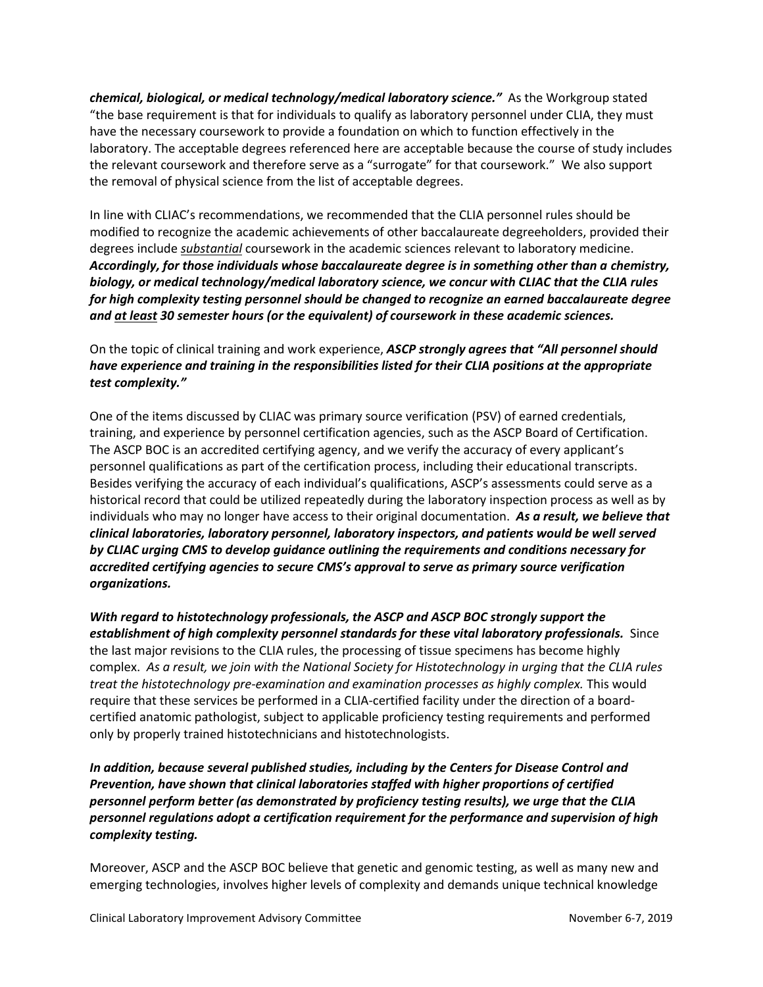*chemical, biological, or medical technology/medical laboratory science."* As the Workgroup stated "the base requirement is that for individuals to qualify as laboratory personnel under CLIA, they must have the necessary coursework to provide a foundation on which to function effectively in the laboratory. The acceptable degrees referenced here are acceptable because the course of study includes the relevant coursework and therefore serve as a "surrogate" for that coursework." We also support the removal of physical science from the list of acceptable degrees.

In line with CLIAC's recommendations, we recommended that the CLIA personnel rules should be modified to recognize the academic achievements of other baccalaureate degreeholders, provided their degrees include *substantial* coursework in the academic sciences relevant to laboratory medicine. *Accordingly, for those individuals whose baccalaureate degree is in something other than a chemistry, biology, or medical technology/medical laboratory science, we concur with CLIAC that the CLIA rules for high complexity testing personnel should be changed to recognize an earned baccalaureate degree and at least 30 semester hours (or the equivalent) of coursework in these academic sciences.*

On the topic of clinical training and work experience, *ASCP strongly agrees that "All personnel should have experience and training in the responsibilities listed for their CLIA positions at the appropriate test complexity."*

One of the items discussed by CLIAC was primary source verification (PSV) of earned credentials, training, and experience by personnel certification agencies, such as the ASCP Board of Certification. The ASCP BOC is an accredited certifying agency, and we verify the accuracy of every applicant's personnel qualifications as part of the certification process, including their educational transcripts. Besides verifying the accuracy of each individual's qualifications, ASCP's assessments could serve as a historical record that could be utilized repeatedly during the laboratory inspection process as well as by individuals who may no longer have access to their original documentation. *As a result, we believe that clinical laboratories, laboratory personnel, laboratory inspectors, and patients would be well served by CLIAC urging CMS to develop guidance outlining the requirements and conditions necessary for accredited certifying agencies to secure CMS's approval to serve as primary source verification organizations.*

*With regard to histotechnology professionals, the ASCP and ASCP BOC strongly support the establishment of high complexity personnel standards for these vital laboratory professionals.* Since the last major revisions to the CLIA rules, the processing of tissue specimens has become highly complex. *As a result, we join with the National Society for Histotechnology in urging that the CLIA rules treat the histotechnology pre-examination and examination processes as highly complex.* This would require that these services be performed in a CLIA-certified facility under the direction of a boardcertified anatomic pathologist, subject to applicable proficiency testing requirements and performed only by properly trained histotechnicians and histotechnologists.

*In addition, because several published studies, including by the Centers for Disease Control and Prevention, have shown that clinical laboratories staffed with higher proportions of certified personnel perform better (as demonstrated by proficiency testing results), we urge that the CLIA personnel regulations adopt a certification requirement for the performance and supervision of high complexity testing.* 

Moreover, ASCP and the ASCP BOC believe that genetic and genomic testing, as well as many new and emerging technologies, involves higher levels of complexity and demands unique technical knowledge